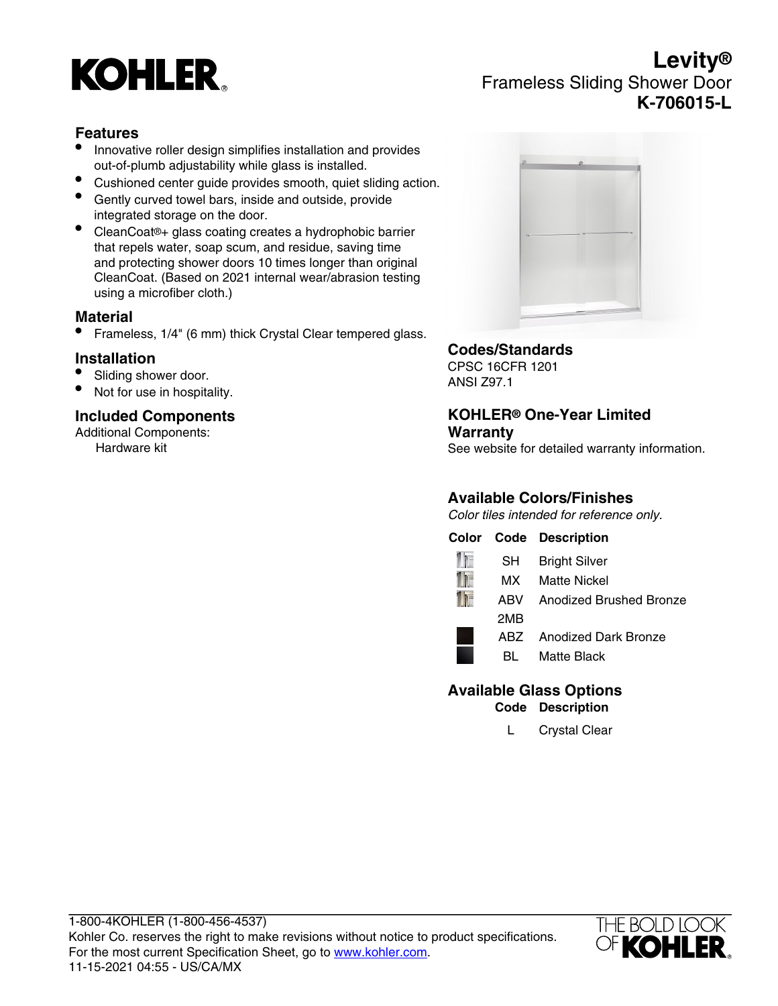# **KOHLER**

# **Levity®** Frameless Sliding Shower Door **K-706015-L**

### **Features**

- Innovative roller design simplifies installation and provides out-of-plumb adjustability while glass is installed.
- Cushioned center guide provides smooth, quiet sliding action.
- Gently curved towel bars, inside and outside, provide integrated storage on the door.
- CleanCoat®+ glass coating creates a hydrophobic barrier that repels water, soap scum, and residue, saving time and protecting shower doors 10 times longer than original CleanCoat. (Based on 2021 internal wear/abrasion testing using a microfiber cloth.)

#### **Material**

• Frameless, 1/4" (6 mm) thick Crystal Clear tempered glass.

#### **Installation**

- Sliding shower door.
- Not for use in hospitality.

## **Included Components**

Additional Components: Hardware kit



#### **Codes/Standards**

CPSC 16CFR 1201 ANSI Z97.1

#### **KOHLER® One-Year Limited Warranty**

See website for detailed warranty information.

## **Available Colors/Finishes**

Color tiles intended for reference only.

|      | <b>Color Code Description</b> |
|------|-------------------------------|
| SH - | <b>Bright Silver</b>          |
| MX   | <b>Matte Nickel</b>           |
| ARV  | Anodized Brushed Bronze       |
| 2MB  |                               |
| ABZ  | Anodized Dark Bronze          |
| BL   | Matte Black                   |

#### **Available Glass Options Code Description**

L Crystal Clear